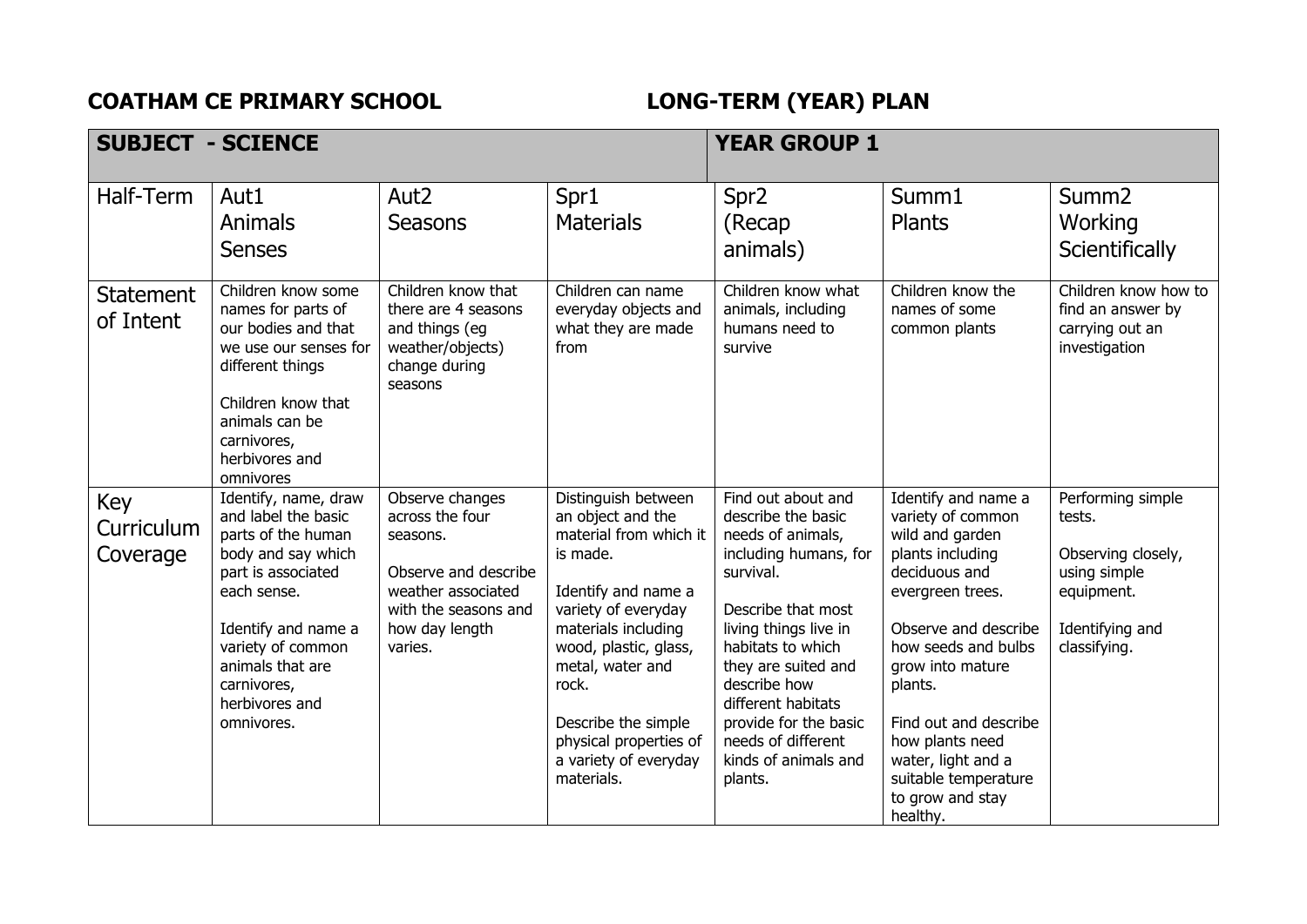## **COATHAM CE PRIMARY SCHOOL LONG-TERM (YEAR) PLAN**

| <b>SUBJECT - SCIENCE</b>      |                                                                                                                                                                                                                                             |                                                                                                                                                   | <b>YEAR GROUP 1</b>                                                                                                                                                                                                                                                                               |                                                                                                                                                                                                                                                                                                                        |                                                                                                                                                                                                                                                                                                                              |                                                                                                                    |
|-------------------------------|---------------------------------------------------------------------------------------------------------------------------------------------------------------------------------------------------------------------------------------------|---------------------------------------------------------------------------------------------------------------------------------------------------|---------------------------------------------------------------------------------------------------------------------------------------------------------------------------------------------------------------------------------------------------------------------------------------------------|------------------------------------------------------------------------------------------------------------------------------------------------------------------------------------------------------------------------------------------------------------------------------------------------------------------------|------------------------------------------------------------------------------------------------------------------------------------------------------------------------------------------------------------------------------------------------------------------------------------------------------------------------------|--------------------------------------------------------------------------------------------------------------------|
| Half-Term                     | Aut1<br>Animals<br><b>Senses</b>                                                                                                                                                                                                            | Aut <sub>2</sub><br><b>Seasons</b>                                                                                                                | Spr1<br><b>Materials</b>                                                                                                                                                                                                                                                                          | Spr <sub>2</sub><br>(Recap<br>animals)                                                                                                                                                                                                                                                                                 | Summ1<br>Plants                                                                                                                                                                                                                                                                                                              | Summ <sub>2</sub><br>Working<br>Scientifically                                                                     |
| <b>Statement</b><br>of Intent | Children know some<br>names for parts of<br>our bodies and that<br>we use our senses for<br>different things<br>Children know that<br>animals can be<br>carnivores,<br>herbivores and<br>omnivores                                          | Children know that<br>there are 4 seasons<br>and things (eg<br>weather/objects)<br>change during<br>seasons                                       | Children can name<br>everyday objects and<br>what they are made<br>from                                                                                                                                                                                                                           | Children know what<br>animals, including<br>humans need to<br>survive                                                                                                                                                                                                                                                  | Children know the<br>names of some<br>common plants                                                                                                                                                                                                                                                                          | Children know how to<br>find an answer by<br>carrying out an<br>investigation                                      |
| Key<br>Curriculum<br>Coverage | Identify, name, draw<br>and label the basic<br>parts of the human<br>body and say which<br>part is associated<br>each sense.<br>Identify and name a<br>variety of common<br>animals that are<br>carnivores,<br>herbivores and<br>omnivores. | Observe changes<br>across the four<br>seasons.<br>Observe and describe<br>weather associated<br>with the seasons and<br>how day length<br>varies. | Distinguish between<br>an object and the<br>material from which it<br>is made.<br>Identify and name a<br>variety of everyday<br>materials including<br>wood, plastic, glass,<br>metal, water and<br>rock.<br>Describe the simple<br>physical properties of<br>a variety of everyday<br>materials. | Find out about and<br>describe the basic<br>needs of animals,<br>including humans, for<br>survival.<br>Describe that most<br>living things live in<br>habitats to which<br>they are suited and<br>describe how<br>different habitats<br>provide for the basic<br>needs of different<br>kinds of animals and<br>plants. | Identify and name a<br>variety of common<br>wild and garden<br>plants including<br>deciduous and<br>evergreen trees.<br>Observe and describe<br>how seeds and bulbs<br>grow into mature<br>plants.<br>Find out and describe<br>how plants need<br>water, light and a<br>suitable temperature<br>to grow and stay<br>healthy. | Performing simple<br>tests.<br>Observing closely,<br>using simple<br>equipment.<br>Identifying and<br>classifying. |